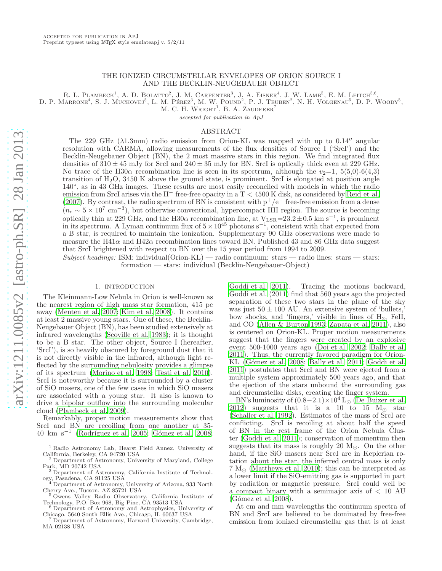## THE IONIZED CIRCUMSTELLAR ENVELOPES OF ORION SOURCE I AND THE BECKLIN-NEUGEBAUER OBJECT

R. L. PLAMBECK<sup>1</sup>, A. D. BOLATTO<sup>2</sup>, J. M. CARPENTER<sup>3</sup>, J. A. EISNER<sup>4</sup>, J. W. LAMB<sup>5</sup>, E. M. LEITCH<sup>5,6</sup>,

D. P. MARRONE<sup>4</sup>, S. J. MUCHOVEJ<sup>5</sup>, L. M. PÉREZ<sup>3</sup>, M. W. POUND<sup>2</sup>, P. J. TEUBEN<sup>2</sup>, N. H. VOLGENAU<sup>5</sup>, D. P. WOODY<sup>5</sup>,

M. C. H. WRIGHT<sup>1</sup>, B. A. ZAUDERER<sup>7</sup>

accepted for publication in ApJ

### ABSTRACT

The 229 GHz  $(\lambda1.3 \text{mm})$  radio emission from Orion-KL was mapped with up to 0.14<sup>"</sup> angular resolution with CARMA, allowing measurements of the flux densities of Source I ('SrcI') and the Becklin-Neugebauer Object (BN), the 2 most massive stars in this region. We find integrated flux densities of  $310 \pm 45$  mJy for SrcI and  $240 \pm 35$  mJy for BN. SrcI is optically thick even at 229 GHz. No trace of the H30 $\alpha$  recombination line is seen in its spectrum, although the  $v_2=1, 5(5,0)-6(4,3)$ transition of  $H_2O$ , 3450 K above the ground state, is prominent. SrcI is elongated at position angle 140◦ , as in 43 GHz images. These results are most easily reconciled with models in which the radio emission from SrcI arises via the H<sup>−</sup> free-free opacity in a  $T < 4500$  K disk, as considered by [Reid et al.](#page-7-0) [\(2007\)](#page-7-0). By contrast, the radio spectrum of BN is consistent with  $p^+/e^-$  free-free emission from a dense  $(n_e \sim 5 \times 10^7 \text{ cm}^{-3})$ , but otherwise conventional, hypercompact HII region. The source is becoming optically thin at 229 GHz, and the H30 $\alpha$  recombination line, at V<sub>LSR</sub>=23.2±0.5 km s<sup>-1</sup>, is prominent in its spectrum. A Lyman continuum flux of  $5 \times 10^{45}$  photons s<sup>-1</sup>, consistent with that expected from a B star, is required to maintain the ionization. Supplementary 90 GHz observations were made to measure the H41 $\alpha$  and H42 $\alpha$  recombination lines toward BN. Published 43 and 86 GHz data suggest that SrcI brightened with respect to BN over the 15 year period from 1994 to 2009.

Subject headings: ISM: individual(Orion-KL) — radio continuum: stars — radio lines: stars — stars: formation — stars: individual (Becklin-Neugebauer-Object)

### 1. INTRODUCTION

The Kleinmann-Low Nebula in Orion is well-known as the nearest region of high mass star formation, 415 pc away [\(Menten et al. 2007;](#page-7-1) [Kim et al. 2008](#page-7-2)). It contains at least 2 massive young stars. One of these, the Becklin-Neugebauer Object (BN), has been studied extensively at infrared wavelengths [\(Scoville et al. 1983\)](#page-7-3); it is thought to be a B star. The other object, Source I (hereafter, 'SrcI'), is so heavily obscured by foreground dust that it is not directly visible in the infrared, although light reflected by the surrounding nebulosity provides a glimpse of its spectrum [\(Morino et al. 1998;](#page-7-4) [Testi et al. 2010\)](#page-7-5). SrcI is noteworthy because it is surrounded by a cluster of SiO masers, one of the few cases in which SiO masers are associated with a young star. It also is known to drive a bipolar outflow into the surrounding molecular cloud [\(Plambeck et al. 2009](#page-7-6)).

Remarkably, proper motion measurements show that SrcI and BN are recoiling from one another at 35-  $40 \text{ km s}^{-1}$  (Rodríguez et al. 2005; Gómez et al. 2008;

[Goddi et al. 2011\)](#page-7-9). Tracing the motions backward, [Goddi et al. \(2011\)](#page-7-9) find that 560 years ago the projected separation of these two stars in the plane of the sky was just  $50 \pm 100$  AU. An extensive system of 'bullets,' bow shocks, and 'fingers,' visible in lines of  $H_2$ , FeII, and CO [\(Allen & Burton 1993;](#page-7-10) [Zapata et al. 2011\)](#page-7-11), also is centered on Orion-KL. Proper motion measurements suggest that the fingers were created by an explosive event 500-1000 years ago [\(Doi et al. 2002;](#page-7-12) [Bally et al.](#page-7-13) [2011\)](#page-7-13). Thus, the currently favored paradigm for Orion-KL (Gómez et al. 2008; [Bally et al. 2011;](#page-7-13) [Goddi et al.](#page-7-9) [2011\)](#page-7-9) postulates that SrcI and BN were ejected from a multiple system approximately 500 years ago, and that the ejection of the stars unbound the surrounding gas and circumstellar disks, creating the finger system.

BN's luminosity of  $(0.8-2.1)\times10^4$  L<sub>⊙</sub> [\(De Buizer et al.](#page-7-14) [2012\)](#page-7-14) suggests that it is a 10 to 15  $M_{\odot}$  star [\(Schaller et al. 1992\)](#page-7-15). Estimates of the mass of SrcI are conflicting. SrcI is recoiling at about half the speed of BN in the rest frame of the Orion Nebula Cluster [\(Goddi et al. 2011](#page-7-9)); conservation of momentum then suggests that its mass is roughly 20  $M_{\odot}$ . On the other hand, if the SiO masers near SrcI are in Keplerian rotation about the star, the inferred central mass is only  $7 M_{\odot}$  [\(Matthews et al. 2010\)](#page-7-16); this can be interpreted as a lower limit if the SiO-emitting gas is supported in part by radiation or magnetic pressure. SrcI could well be a compact binary with a semimajor axis of < 10 AU  $(Gómez et al. 2008).$ 

At cm and mm wavelengths the continuum spectra of BN and SrcI are believed to be dominated by free-free emission from ionized circumstellar gas that is at least

<sup>1</sup> Radio Astronomy Lab, Hearst Field Annex, University of California, Berkeley, CA 94720 USA

<sup>2</sup> Department of Astronomy, University of Maryland, College Park, MD 20742 USA

<sup>3</sup> Department of Astronomy, California Institute of Technology, Pasadena, CA 91125 USA

<sup>4</sup> Department of Astronomy, University of Arizona, 933 North Cherry Ave., Tucson, AZ 85721 USA <sup>5</sup> Owens Valley Radio Observatory, California Institute of

Technology, P.O. Box 968, Big Pine, CA 93513 USA <sup>6</sup> Department of Astronomy and Astrophysics, University of

Chicago, 5640 South Ellis Ave., Chicago, IL 60637 USA <sup>7</sup> Department of Astronomy, Harvard University, Cambridge,

MA 02138 USA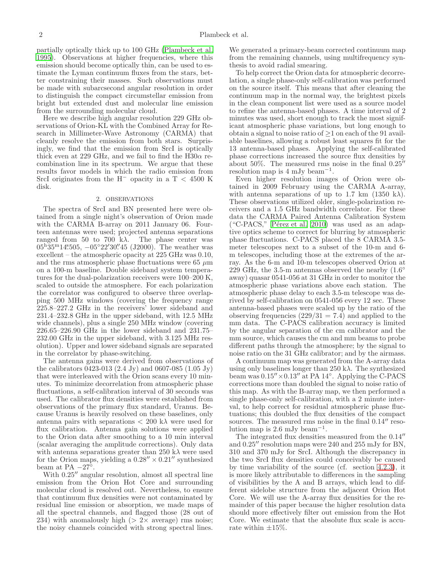partially optically thick up to 100 GHz [\(Plambeck et al.](#page-7-17) [1995\)](#page-7-17). Observations at higher frequencies, where this emission should become optically thin, can be used to estimate the Lyman continuum fluxes from the stars, better constraining their masses. Such observations must be made with subarcsecond angular resolution in order to distinguish the compact circumstellar emission from bright but extended dust and molecular line emission from the surrounding molecular cloud.

Here we describe high angular resolution 229 GHz observations of Orion-KL with the Combined Array for Research in Millimeter-Wave Astronomy (CARMA) that cleanly resolve the emission from both stars. Surprisingly, we find that the emission from SrcI is optically thick even at 229 GHz, and we fail to find the  $H30\alpha$  recombination line in its spectrum. We argue that these results favor models in which the radio emission from SrcI originates from the H<sup>-</sup> opacity in a T < 4500 K disk.

### 2. OBSERVATIONS

The spectra of SrcI and BN presented here were obtained from a single night's observation of Orion made with the CARMA B-array on 2011 January 06. Fourteen antennas were used; projected antenna separations ranged from 50 to 700 k $\lambda$ . The phase center was  $05^{\rm h}35^{\rm m}14^{\rm s}_{\cdot}505, -05^{\circ}22'30''45$  (J2000). The weather was excellent – the atmospheric opacity at 225 GHz was 0.10, and the rms atmospheric phase fluctuations were 65  $\mu$ m on a 100-m baseline. Double sideband system temperatures for the dual-polarization receivers were 100–200 K, scaled to outside the atmosphere. For each polarization the correlator was configured to observe three overlapping 500 MHz windows (covering the frequency range 225.8–227.2 GHz in the receivers' lower sideband and 231.4–232.8 GHz in the upper sideband, with 12.5 MHz wide channels), plus a single 250 MHz window (covering 226.65–226.90 GHz in the lower sideband and 231.75– 232.00 GHz in the upper sideband, with 3.125 MHz resolution). Upper and lower sideband signals are separated in the correlator by phase-switching.

The antenna gains were derived from observations of the calibrators 0423-013 (2.4 Jy) and 0607-085 (1.05 Jy) that were interleaved with the Orion scans every 10 minutes. To minimize decorrelation from atmospheric phase fluctuations, a self-calibration interval of 30 seconds was used. The calibrator flux densities were established from observations of the primary flux standard, Uranus. Because Uranus is heavily resolved on these baselines, only antenna pairs with separations  $\langle 200 \text{ k}\lambda \rangle$  were used for flux calibration. Antenna gain solutions were applied to the Orion data after smoothing to a 10 min interval (scalar averaging the amplitude corrections). Only data with antenna separations greater than 250 k $\lambda$  were used for the Orion maps, yielding a  $0.28'' \times 0.21''$  synthesized beam at PA  $-27^{\circ}$ .

With  $0.25''$  angular resolution, almost all spectral line emission from the Orion Hot Core and surrounding molecular cloud is resolved out. Nevertheless, to ensure that continuum flux densities were not contaminated by residual line emission or absorption, we made maps of all the spectral channels, and flagged those (28 out of 234) with anomalously high  $(2 \times 2 \times 1)$  average) rms noise; the noisy channels coincided with strong spectral lines.

We generated a primary-beam corrected continuum map from the remaining channels, using multifrequency synthesis to avoid radial smearing.

To help correct the Orion data for atmospheric decorrelation, a single phase-only self-calibration was performed on the source itself. This means that after cleaning the continuum map in the normal way, the brightest pixels in the clean component list were used as a source model to refine the antenna-based phases. A time interval of 2 minutes was used, short enough to track the most significant atmospheric phase variations, but long enough to obtain a signal to noise ratio of  $\geq 1$  on each of the 91 available baselines, allowing a robust least squares fit for the 13 antenna-based phases. Applying the self-calibrated phase corrections increased the source flux densities by about 50%. The measured rms noise in the final  $0.25<sup>h</sup>$ resolution map is 4 mJy beam<sup>-1</sup>.

Even higher resolution images of Orion were obtained in 2009 February using the CARMA A-array, with antenna separations of up to 1.7 km  $(1350 \text{ kA})$ . These observations utilized older, single-polarization receivers and a 1.5 GHz bandwidth correlator. For these data the CARMA Paired Antenna Calibration System ("C-PACS," Pérez et al. 2010) was used as an adaptive optics scheme to correct for blurring by atmospheric phase fluctuations. C-PACS placed the 8 CARMA 3.5 meter telescopes next to a subset of the 10-m and 6 m telescopes, including those at the extremes of the array. As the 6-m and 10-m telescopes observed Orion at 229 GHz, the 3.5-m antennas observed the nearby  $(1.6°$ away) quasar 0541-056 at 31 GHz in order to monitor the atmospheric phase variations above each station. The atmospheric phase delay to each 3.5-m telescope was derived by self-calibration on 0541-056 every 12 sec. These antenna-based phases were scaled up by the ratio of the observing frequencies  $(229/31 = 7.4)$  and applied to the mm data. The C-PACS calibration accuracy is limited by the angular separation of the cm calibrator and the mm source, which causes the cm and mm beams to probe different paths through the atmosphere; by the signal to noise ratio on the 31 GHz calibrator; and by the airmass.

A continuum map was generated from the A-array data using only baselines longer than 250 k $\lambda$ . The synthesized beam was 0.15′′×0.13′′ at PA 14◦ . Applying the C-PACS corrections more than doubled the signal to noise ratio of this map. As with the B-array map, we then performed a single phase-only self-calibration, with a 2 minute interval, to help correct for residual atmospheric phase fluctuations; this doubled the flux densities of the compact sources. The measured rms noise in the final  $0.14''$  resolution map is 2.6 mJy beam<sup>-1</sup>.

The integrated flux densities measured from the 0.14′′ and 0.25′′ resolution maps were 240 and 255 mJy for BN, 310 and 370 mJy for SrcI. Although the discrepancy in the two SrcI flux densities could conceivably be caused by time variability of the source (cf. section [4.2.3\)](#page-6-0), it is more likely attributable to differences in the sampling of visibilities by the A and B arrays, which lead to different sidelobe structure from the adjacent Orion Hot Core. We will use the A-array flux densities for the remainder of this paper because the higher resolution data should more effectively filter out emission from the Hot Core. We estimate that the absolute flux scale is accurate within  $\pm 15\%$ .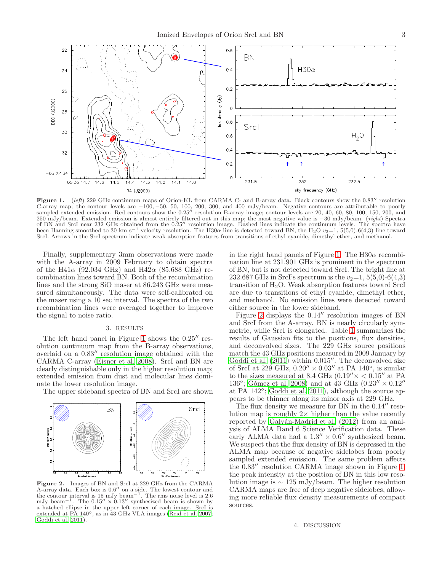

<span id="page-2-0"></span>Figure 1. (left) 229 GHz continuum maps of Orion-KL from CARMA C- and B-array data. Black contours show the 0.83'' resolution C-array map; the contour levels are  $-100$ ,  $-50$ , 50, 100, 200, 300, and 400 mJy/beam. Negative contours are attributable to poorly sampled extended emission. Red contours show the  $0.25''$  resolution B-array image; conto 250 mJy/beam. Extended emission is almost entirely filtered out in this map; the most negative value is -30 mJy/beam. (right) Spectra of BN and SrcI near 232 GHz obtained from the 0.25′′ resolution image. Dashed lines indicate the continuum levels. The spectra have been Hanning smoothed to 30 km s<sup>-1</sup> velocity resolution. The H30 $\alpha$  line is detected toward BN, the H<sub>2</sub>O  $v_2$ =1, 5(5,0)-6(4,3) line toward SrcI. Arrows in the SrcI spectrum indicate weak absorption features from transitions of ethyl cyanide, dimethyl ether, and methanol.

Finally, supplementary 3mm observations were made with the A-array in 2009 February to obtain spectra of the H41 $\alpha$  (92.034 GHz) and H42 $\alpha$  (85.688 GHz) recombination lines toward BN. Both of the recombination lines and the strong SiO maser at 86.243 GHz were measured simultaneously. The data were self-calibrated on the maser using a 10 sec interval. The spectra of the two recombination lines were averaged together to improve the signal to noise ratio.

### 3. RESULTS

The left hand panel in Figure [1](#page-2-0) shows the  $0.25''$  resolution continuum map from the B-array observations, overlaid on a 0.83′′ resolution image obtained with the CARMA C-array [\(Eisner et al. 2008\)](#page-7-19). SrcI and BN are clearly distinguishable only in the higher resolution map; extended emission from dust and molecular lines dominate the lower resolution image.

The upper sideband spectra of BN and SrcI are shown



<span id="page-2-1"></span>Figure 2. Images of BN and SrcI at 229 GHz from the CARMA A-array data. Each box is 0.6 ′′ on a side. The lowest contour and the contour interval is 15 mJy beam<sup> $-1$ </sup>. The rms noise level is 2.6 mJy beam<sup>-1</sup>. The  $0.15'' \times 0.13''$  synthesized beam is shown by a hatched ellipse in the upper left corner of each image. SrcI is extended at PA 140◦, as in 43 GHz VLA images [\(Reid et al. 2007;](#page-7-0) [Goddi et al. 2011\)](#page-7-9).

in the right hand panels of Figure [1.](#page-2-0) The  $H30\alpha$  recombination line at 231.901 GHz is prominent in the spectrum of BN, but is not detected toward SrcI. The bright line at 232.687 GHz in SrcI's spectrum is the  $v_2=1, 5(5,0)$ -6(4,3) transition of  $H_2O$ . Weak absorption features toward SrcI are due to transitions of ethyl cyanide, dimethyl ether, and methanol. No emission lines were detected toward either source in the lower sideband.

Figure [2](#page-2-1) displays the 0.14′′ resolution images of BN and SrcI from the A-array. BN is nearly circularly symmetric, while SrcI is elongated. Table [1](#page-3-0) summarizes the results of Gaussian fits to the positions, flux densities, and deconvolved sizes. The 229 GHz source positions match the 43 GHz positions measured in 2009 January by Goddi et al.  $(2011)$  within 0.015". The deconvolved size of SrcI at 229 GHz,  $0.20'' \times 0.03''$  at PA  $140^{\circ}$ , is similar to the sizes measured at 8.4 GHz  $(0.19'' \times < 0.15''$  at PA 136<sup>°</sup>; Gómez et al. 2008) and at 43 GHz  $(0.23'' \times 0.12''$ at PA 142◦ ; [Goddi et al. 2011\)](#page-7-9), although the source appears to be thinner along its minor axis at 229 GHz.

The flux density we measure for BN in the  $0.14''$  resolution map is roughly  $2 \times$  higher than the value recently reported by Galván-Madrid et al. (2012) from an analysis of ALMA Band 6 Science Verification data. These early ALMA data had a  $1.3'' \times 0.6''$  synthesized beam. We suspect that the flux density of BN is depressed in the ALMA map because of negative sidelobes from poorly sampled extended emission. The same problem affects the 0.83′′ resolution CARMA image shown in Figure [1;](#page-2-0) the peak intensity at the position of BN in this low resolution image is ∼ 125 mJy/beam. The higher resolution CARMA maps are free of deep negative sidelobes, allowing more reliable flux density measurements of compact sources.

#### 4. DISCUSSION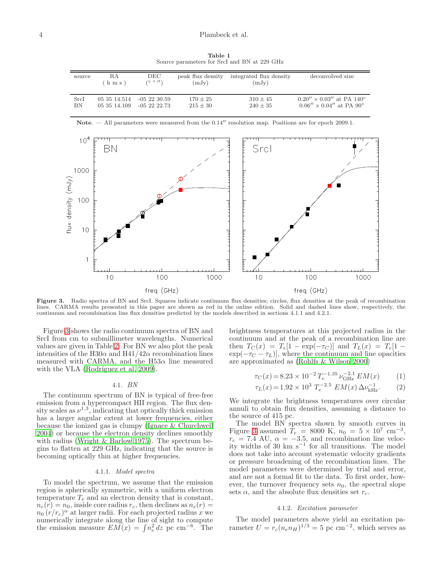Table 1 Source parameters for SrcI and BN at 229 GHz

<span id="page-3-0"></span>

| source | R.A<br>hms   | DEC<br>(011)  | peak flux density<br>(mJy) | integrated flux density<br>(mJy) | deconvolved size                              |
|--------|--------------|---------------|----------------------------|----------------------------------|-----------------------------------------------|
| SrcI   | 05 35 14.514 | $-0.52230.59$ | $170 + 25$                 | $310 + 45$                       | $0.20'' \times 0.03''$ at PA 140 <sup>o</sup> |
| ΒN     | 05 35 14.109 | $-0.5222223$  | $215 + 30$                 | $240 \pm 35$                     | $0.06'' \times 0.04''$ at PA 90 <sup>o</sup>  |



<span id="page-3-1"></span>Figure 3. Radio spectra of BN and SrcI. Squares indicate continuum flux densities; circles, flux densities at the peak of recombination lines. CARMA results presented in this paper are shown as red in the online edition. Solid and dashed lines show, respectively, the continuum and recombination line flux densities predicted by the models described in sections 4.1.1 and 4.2.1.

Figure [3](#page-3-1) shows the radio continuum spectra of BN and SrcI from cm to submillimeter wavelengths. Numerical values are given in Table [2.](#page-4-0) For BN we also plot the peak intensities of the H30 $\alpha$  and H41/42 $\alpha$  recombination lines measured with CARMA, and the  $H53\alpha$  line measured with the VLA (Rodríguez et al. 2009).

## 4.1. BN

The continuum spectrum of BN is typical of free-free emission from a hypercompact HII region. The flux density scales as  $\nu^{1.3}$ , indicating that optically thick emission has a larger angular extent at lower frequencies, either because the ionized gas is clumpy [\(Ignace & Churchwell](#page-7-22) [2004\)](#page-7-22) or because the electron density declines smoothly with radius [\(Wright & Barlow 1975](#page-7-23)). The spectrum begins to flatten at 229 GHz, indicating that the source is becoming optically thin at higher frequencies.

#### 4.1.1. Model spectra

To model the spectrum, we assume that the emission region is spherically symmetric, with a uniform electron temperature  $T_e$  and an electron density that is constant,  $n_e(r) = n_0$ , inside core radius  $r_c$ , then declines as  $n_e(r) =$  $n_0 (r/r_c)^{\alpha}$  at larger radii. For each projected radius x we numerically integrate along the line of sight to compute the emission measure  $EM(x) = \int n_e^2 dz$  pc cm<sup>-6</sup>. The

brightness temperatures at this projected radius in the continuum and at the peak of a recombination line are then  $T_C(x) = T_e[1 - \exp(-\tau_C)]$  and  $T_L(x) = T_e[1 - \frac{\tau_C}{x}]$  $\exp(-\tau_C - \tau_L)$ , where the continuum and line opacities are approximated as [\(Rohlfs & Wilson 2000\)](#page-7-24)

$$
\tau_C(x) = 8.23 \times 10^{-2} T_e^{-1.35} \nu_{\text{GHz}}^{-2.1} EM(x)
$$
 (1)

$$
\tau_L(x) = 1.92 \times 10^3 \ T_e^{-2.5} \ EM(x) \ \Delta\nu_{\rm kHz}^{-1}.\tag{2}
$$

We integrate the brightness temperatures over circular annuli to obtain flux densities, assuming a distance to the source of 415 pc.

The model BN spectra shown by smooth curves in Figure [3](#page-3-1) assumed  $T_e = 8000 \text{ K}, n_0 = 5 \times 10^7 \text{ cm}^{-3},$  $r_c = 7.4$  AU,  $\alpha = -3.5$ , and recombination line velocity widths of 30 km  $s^{-1}$  for all transitions. The model does not take into account systematic velocity gradients or pressure broadening of the recombination lines. The model parameters were determined by trial and error, and are not a formal fit to the data. To first order, however, the turnover frequency sets  $n_0$ , the spectral slope sets  $\alpha$ , and the absolute flux densities set  $r_c$ .

## 4.1.2. Excitation parameter

The model parameters above yield an excitation parameter  $U = r_c (n_e n_H)^{1/3} = 5$  pc cm<sup>-2</sup>, which serves as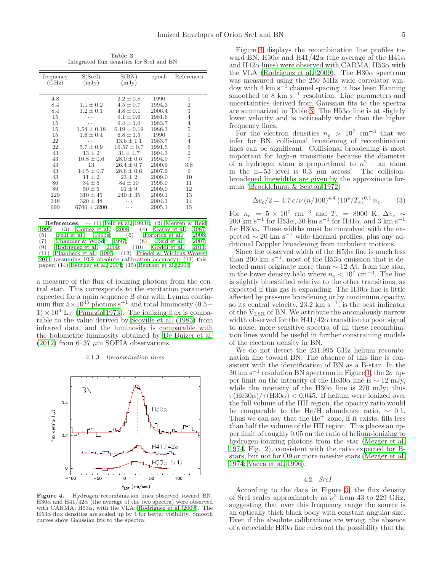Table 2 Integrated flux densities for SrcI and BN

<span id="page-4-0"></span>

| frequency | S(SrcI)         | S(BN)           | epoch  | References     |
|-----------|-----------------|-----------------|--------|----------------|
| (GHz)     | (mJy)           | (mJy)           |        |                |
|           |                 |                 |        |                |
| 4.8       |                 | $2.2 \pm 0.8$   | 1990   | 1              |
| 8.4       | $1.1 \pm 0.2$   | $4.5 \pm 0.7$   | 1994.3 | $\overline{2}$ |
| 8.4       | $1.2 \pm 0.1$   | $4.8 \pm 0.1$   | 2006.4 | 3              |
| 15        |                 | $9.1 \pm 0.6$   | 1981.6 | $\overline{4}$ |
| 15        | .               | $9.4 \pm 1.0$   | 1983.7 | 4              |
| 15        | $1.54 \pm 0.18$ | $6.19 \pm 0.19$ | 1986.3 | 5              |
| 15        | $1.6 \pm 0.4$   | $6.8 \pm 1.5$   | 1990   | 1              |
| 22        | .               | $13.6 \pm 1.1$  | 1983.7 | $\overline{4}$ |
| 22        | $5.7 \pm 0.9$   | $16.57 \pm 0.7$ | 1991.5 | 6              |
| 43        | $13 \pm 2$      | $31 \pm 4.7$    | 1994.3 | $\overline{2}$ |
| 43        | $10.8 \pm 0.6$  | $28.0 \pm 0.6$  | 1994.9 | $\overline{7}$ |
| 43        | 13              | $26.4 \pm 0.7$  | 2000.9 | 3,8            |
| 43        | $14.5 \pm 0.7$  | $28.6 \pm 0.6$  | 2007.9 | 9              |
| 43        | $11 \pm 2$      | $23 \pm 2$      | 2009.0 | 10             |
| 86        | $34 \pm 5$      | $84 \pm 10$     | 1995.0 | 11             |
| 89        | $50 \pm 5$      | $91 \pm 9$      | 2009.0 | 12             |
| 229       | $310 \pm 45$    | $240 \pm 35$    | 2009.1 | 13             |
| 348       | $320 \pm 48$    |                 | 2004.1 | 14             |
| 690       | $6700 \pm 3200$ |                 | 2005.1 | 15             |
|           |                 |                 |        |                |

**References.** — (1) [Felli et al. 1993b](#page-7-25); (2) [Menten & Reid](#page-7-26) 1995; (3) Gómez et al. 2008; (4) Garay et al. 1987; (3) Gómez et al. 2008; (4) [Garay et al. 1987](#page-7-27);<br>Felli et al. 1993a; (6) Forbrich et al. 2008; (5) [Felli et al. 1993a](#page-7-28); (6) [Forbrich et al. 2008](#page-7-29);  $(7)$  [Chandler & Wood 1997;](#page-7-30)  $(8)$  [Reid et al. 2007](#page-7-0);<br> $(9)$  Rodríguez et al. 2009;  $(10)$  Goddi et al. 2011;  $(9)$  Rodríguez et al.  $(11)$  Plambeck et al. Plambeck et al. 1995;  $(12)$  [Friedel & Widicus Weaver](#page-7-31) [2011](#page-7-31) (assuming 10% absolute calibration accuracy); (13) this paper; (14) [Beuther et al. 2004;](#page-7-32) (15) [Beuther et al. 2006](#page-7-33)

a measure of the flux of ionizing photons from the central star. This corresponds to the excitation parameter expected for a main sequence B star with Lyman continuum flux  $5 \times 10^{45}$  photons s<sup>-1</sup> and total luminosity (0.5−  $1) \times 10^4$  L<sub>☉</sub> [\(Panagia 1973](#page-7-34)). The ionizing flux is comparable to the value derived by [Scoville et al. \(1983](#page-7-3)) from infrared data, and the luminosity is comparable with the bolometric luminosity obtained by [De Buizer et al.](#page-7-14) [\(2012\)](#page-7-14) from 6-37  $\mu$ m SOFIA observations.

4.1.3. Recombination lines



<span id="page-4-1"></span>Figure 4. Hydrogen recombination lines observed toward BN. H30 $\alpha$  and H41/42 $\alpha$  (the average of the two spectra) were observed with CARMA;  $H53\alpha$ , with the VLA (Rodríguez et al. 2009). The  $H53\alpha$  flux densities are scaled up by 4 for better visibility. Smooth curves show Gaussian fits to the spectra.

Figure [4](#page-4-1) displays the recombination line profiles toward BN. H30 $\alpha$  and H41/42 $\alpha$  (the average of the H41 $\alpha$ and H42 $\alpha$  lines) were observed with CARMA, H53 $\alpha$  with the VLA (Rodríguez et al. 2009). The H30 $\alpha$  spectrum was measured using the 250 MHz wide correlator window with 4 km s−<sup>1</sup> channel spacing; it has been Hanning smoothed to 8 km s<sup>-1</sup> resolution. Line parameters and uncertainties derived from Gaussian fits to the spectra are summarized in Table [3.](#page-5-0) The  $H_{53\alpha}$  line is at slightly lower velocity and is noticeably wider than the higher frequency lines.

For the electron densities  $n_e > 10^7$  cm<sup>-3</sup> that we infer for BN, collisional broadening of recombination lines can be significant. Collisional broadening is most important for high-n transitions because the diameter of a hydrogen atom is proportional to  $n^2$  – an atom in the n=53 level is  $0.3 \mu m$  across! The collisionbroadened linewidths are given by the approximate formula [\(Brocklehurst & Seaton 1972\)](#page-7-35)

$$
\Delta v_c/2 = 4.7 c/\nu (n/100)^{4.4} (10^4/T_e)^{0.1} n_e.
$$
 (3)

For  $n_e = 5 \times 10^7$  cm<sup>-3</sup> and  $T_e = 8000$  K,  $\Delta v_c \sim$  $200 \text{ km s}^{-1}$  for H53 $\alpha$ , 30 km s<sup>-1</sup> for H41 $\alpha$ , and 3 km s<sup>-1</sup> for H30 $\alpha$ . These widths must be convolved with the expected  $\sim 20 \text{ km s}^{-1}$  wide thermal profiles, plus any additional Doppler broadening from turbulent motions.

Since the observed width of the H53 $\alpha$  line is much less than 200 km s<sup>-1</sup>, most of the H53 $\alpha$  emission that is detected must originate more than  $\sim$  12 AU from the star, in the lower density halo where  $n_e < 10^7$  cm<sup>-3</sup>. The line is slightly blueshifted relative to the other transitions, as expected if this gas is expanding. The  $H30\alpha$  line is little affected by pressure broadening or by continuum opacity, so its central velocity, 23.2 km s<sup>-1</sup>, is the best indicator of the VLSR of BN. We attribute the anomalously narrow width observed for the  $H_1/42\alpha$  transition to poor signal to noise; more sensitive spectra of all these recombination lines would be useful in further constraining models of the electron density in BN.

We do not detect the 231.995 GHz helium recombination line toward BN. The absence of this line is consistent with the identification of BN as a B-star. In the  $30 \text{ km s}^{-1}$  resolution BN spectrum in Figure [1,](#page-2-0) the  $2\sigma$  upper limit on the intensity of the He30 $\alpha$  line is  $\sim 12 \text{ mJy}$ , while the intensity of the H30 $\alpha$  line is 270 mJy; thus  $\tau(\text{He}30\alpha)/\tau(\text{H}30\alpha) < 0.045$ . If helium were ionized over the full volume of the HII region, the opacity ratio would be comparable to the He/H abundance ratio,  $\sim 0.1$ . Thus we can say that the  $He<sup>+</sup>$  zone, if it exists, fills less than half the volume of the HII region. This places an upper limit of roughly 0.05 on the ratio of helium-ionizing to hydrogen-ionizing photons from the star [\(Mezger et al.](#page-7-36) [1974,](#page-7-36) Fig. 2), consistent with the ratio expected for Bstars, but not for O9 or more massive stars [\(Mezger et al.](#page-7-36) [1974;](#page-7-36) [Vacca et al. 1996\)](#page-7-37).

### 4.2. SrcI

According to the data in Figure [3,](#page-3-1) the flux density of SrcI scales approximately as  $\nu^2$  from 43 to 229 GHz, suggesting that over this frequency range the source is an optically thick black body with constant angular size. Even if the absolute calibrations are wrong, the absence of a detectable  $H30\alpha$  line rules out the possibility that the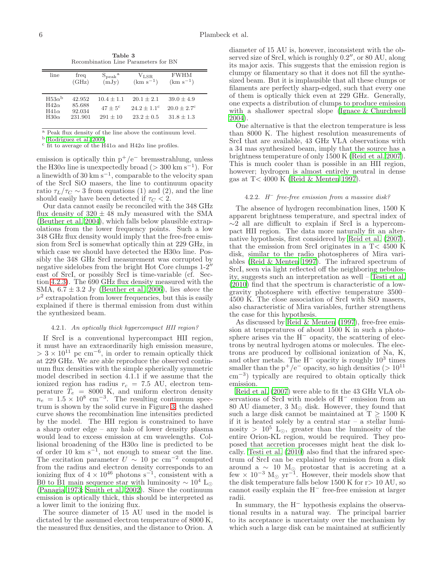Table 3 Recombination Line Parameters for BN

<span id="page-5-0"></span>

| line                                                       | freq                                  | $S_{\rm peak}$ <sup>a</sup>                    | V <sub>LSR</sub>                                          | <b>FWHM</b>                                                 |
|------------------------------------------------------------|---------------------------------------|------------------------------------------------|-----------------------------------------------------------|-------------------------------------------------------------|
|                                                            | (GHz)                                 | (mJy)                                          | $(km s^{-1})$                                             | $(km s^{-1})$                                               |
| $H53\alpha^b$<br>$H42\alpha$<br>$H41\alpha$<br>$H30\alpha$ | 42.952<br>85.688<br>92.034<br>231.901 | $10.4 + 1.1$<br>$47 + 5^{\circ}$<br>$291 + 10$ | $20.1 + 2.1$<br>$24.2 + 1.1$ <sup>c</sup><br>$23.2 + 0.5$ | $39.0 + 4.9$<br>$20.0 \pm 2.7$ <sup>c</sup><br>$31.8 + 1.3$ |

<sup>a</sup> Peak flux density of the line above the continuum level.

<sup>b</sup> Rodríguez et al. 2009.

<sup>c</sup> fit to average of the H41 $\alpha$  and H42 $\alpha$  line profiles.

emission is optically thin  $p^+/e^-$  bremsstrahlung, unless the H30 $\alpha$  line is unexpectedly broad (> 300 km s<sup>-1</sup>). For a linewidth of 30 km s−<sup>1</sup> , comparable to the velocity span of the SrcI SiO masers, the line to continuum opacity ratio  $\tau_L/\tau_C \sim 3$  from equations (1) and (2), and the line should easily have been detected if  $\tau_C < 2$ .

Our data cannot easily be reconciled with the 348 GHz flux density of  $320 \pm 48$  mJy measured with the SMA [\(Beuther et al. 2004\)](#page-7-32), which falls below plausible extrapolations from the lower frequency points. Such a low 348 GHz flux density would imply that the free-free emission from SrcI is somewhat optically thin at 229 GHz, in which case we should have detected the  $H30\alpha$  line. Possibly the 348 GHz SrcI measurement was corrupted by negative sidelobes from the bright Hot Core clumps 1-2′′ east of SrcI, or possibly SrcI is time-variable (cf. Section [4.2.3\)](#page-6-0). The 690 GHz flux density measured with the SMA,  $6.7 \pm 3.2$  Jy [\(Beuther et al. 2006\)](#page-7-33), lies *above* the  $\nu^2$  extrapolation from lower frequencies, but this is easily explained if there is thermal emission from dust within the synthesized beam.

### 4.2.1. An optically thick hypercompact HII region?

If SrcI is a conventional hypercompact HII region, it must have an extraordinarily high emission measure,  $> 3 \times 10^{11}$  pc cm<sup>-6</sup>, in order to remain optically thick at 229 GHz. We are able reproduce the observed continuum flux densities with the simple spherically symmetric model described in section 4.1.1 if we assume that the ionized region has radius  $r_c = 7.5$  AU, electron temperature  $T_e = 8000$  K, and uniform electron density  $n_e = 1.5 \times 10^8$  cm<sup>-3</sup>. The resulting continuum spectrum is shown by the solid curve in Figure [3;](#page-3-1) the dashed curve shows the recombination line intensities predicted by the model. The HII region is constrained to have a sharp outer edge – any halo of lower density plasma would lead to excess emission at cm wavelengths. Collisional broadening of the  $H30\alpha$  line is predicted to be of order 10 km  $s^{-1}$ , not enough to smear out the line. The excitation parameter  $U \sim 10$  pc cm<sup>-2</sup> computed from the radius and electron density corresponds to an ionizing flux of  $4 \times 10^{46}$  photons s<sup>-1</sup>, consistent with a B0 to B1 main sequence star with luminosity  $\sim 10^4$  L<sub>⊙</sub> [\(Panagia 1973;](#page-7-34) [Smith et al. 2002\)](#page-7-38). Since the continuum emission is optically thick, this should be interpreted as a lower limit to the ionizing flux.

The source diameter of 15 AU used in the model is dictated by the assumed electron temperature of 8000 K, the measured flux densities, and the distance to Orion. A

diameter of 15 AU is, however, inconsistent with the observed size of SrcI, which is roughly 0.2", or 80 AU, along its major axis. This suggests that the emission region is clumpy or filamentary so that it does not fill the synthesized beam. But it is implausible that all these clumps or filaments are perfectly sharp-edged, such that every one of them is optically thick even at 229 GHz. Generally, one expects a distribution of clumps to produce emission with a shallower spectral slope [\(Ignace & Churchwell](#page-7-22) [2004\)](#page-7-22).

One alternative is that the electron temperature is less than 8000 K. The highest resolution measurements of SrcI that are available, 43 GHz VLA observations with a 34 mas synthesized beam, imply that the source has a brightness temperature of only 1500 K [\(Reid et al. 2007](#page-7-0)). This is much cooler than is possible in an HII region, however; hydrogen is almost entirely neutral in dense gas at T< 4000 K [\(Reid & Menten 1997](#page-7-39)).

# $4.2.2.$  H<sup>-</sup> free-free emission from a massive disk?

The absence of hydrogen recombination lines, 1500 K apparent brightness temperature, and spectral index of  $\sim$ 2 all are difficult to explain if SrcI is a hypercompact HII region. The data more naturally fit an alternative hypothesis, first considered by [Reid et al. \(2007](#page-7-0)), that the emission from SrcI originates in a T< 4500 K disk, similar to the radio photospheres of Mira variables [\(Reid & Menten 1997\)](#page-7-39). The infrared spectrum of SrcI, seen via light reflected off the neighboring nebulosity, suggests such an interpretation as well – [Testi et al.](#page-7-5) [\(2010\)](#page-7-5) find that the spectrum is characteristic of a lowgravity photosphere with effective temperature 3500– 4500 K. The close association of SrcI with SiO masers, also characteristic of Mira variables, further strengthens the case for this hypothesis.

As discussed by [Reid & Menten \(1997\)](#page-7-39), free-free emission at temperatures of about 1500 K in such a photosphere arises via the H<sup>−</sup> opacity, the scattering of electrons by neutral hydrogen atoms or molecules. The electrons are produced by collisional ionization of Na, K, and other metals. The  $H^-$  opacity is roughly  $10^3$  times smaller than the p<sup>+</sup>/e<sup>-</sup> opacity, so high densities (>  $10^{11}$ cm<sup>−</sup><sup>3</sup> ) typically are required to obtain optically thick emission.

[Reid et al. \(2007\)](#page-7-0) were able to fit the 43 GHz VLA observations of SrcI with models of H<sup>−</sup> emission from an 80 AU diameter, 3  $M_{\odot}$  disk. However, they found that such a large disk cannot be maintained at  $T \geq 1500$  K if it is heated solely by a central star – a stellar luminosity >  $10^5$  L<sub>⊙</sub>, greater than the luminosity of the entire Orion-KL region, would be required. They proposed that accretion processes might heat the disk locally. [Testi et al. \(2010\)](#page-7-5) also find that the infrared spectrum of SrcI can be explained by emission from a disk around a  $~\sim~10$  M<sub>☉</sub> protostar that is accreting at a few  $\times$  10<sup>-3</sup> M<sub>☉</sub> yr<sup>-1</sup>. However, their models show that the disk temperature falls below 1500 K for r> 10 AU, so cannot easily explain the H<sup>−</sup> free-free emission at larger radii.

In summary, the H<sup>−</sup> hypothesis explains the observational results in a natural way. The principal barrier to its acceptance is uncertainty over the mechanism by which such a large disk can be maintained at sufficiently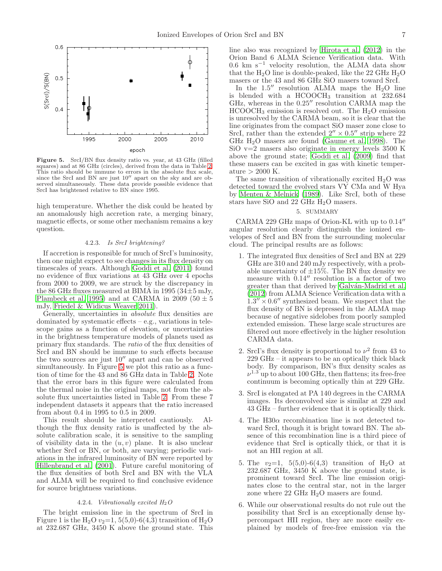

<span id="page-6-1"></span>Figure 5. SrcI/BN flux density ratio vs. year, at 43 GHz (filled squares) and at 86 GHz (circles), derived from the data in Table [2.](#page-4-0) This ratio should be immune to errors in the absolute flux scale, since the SrcI and BN are just  $10''$  apart on the sky and are observed simultaneously. These data provide possible evidence that SrcI has brightened relative to BN since 1995.

high temperature. Whether the disk could be heated by an anomalously high accretion rate, a merging binary, magnetic effects, or some other mechanism remains a key question.

### 4.2.3. Is SrcI brightening?

<span id="page-6-0"></span>If accretion is responsible for much of SrcI's luminosity, then one might expect to see changes in its flux density on timescales of years. Although [Goddi et al. \(2011](#page-7-9)) found no evidence of flux variations at 43 GHz over 4 epochs from 2000 to 2009, we are struck by the discrepancy in the 86 GHz fluxes measured at BIMA in 1995 ( $34\pm5$  mJy, [Plambeck et al. 1995\)](#page-7-17) and at CARMA in 2009 (50  $\pm$  5 mJy, [Friedel & Widicus Weaver 2011](#page-7-31)).

Generally, uncertainties in absolute flux densities are dominated by systematic effects – e.g., variations in telescope gains as a function of elevation, or uncertainties in the brightness temperature models of planets used as primary flux standards. The ratio of the flux densities of SrcI and BN should be immune to such effects because the two sources are just 10′′ apart and can be observed simultaneously. In Figure [5](#page-6-1) we plot this ratio as a function of time for the 43 and 86 GHz data in Table [2.](#page-4-0) Note that the error bars in this figure were calculated from the thermal noise in the original maps, not from the absolute flux uncertainties listed in Table [2.](#page-4-0) From these 7 independent datasets it appears that the ratio increased from about 0.4 in 1995 to 0.5 in 2009.

This result should be interpreted cautiously. Although the flux density ratio is unaffected by the absolute calibration scale, it is sensitive to the sampling of visibility data in the  $(u, v)$  plane. It is also unclear whether SrcI or BN, or both, are varying; periodic variations in the infrared luminosity of BN were reported by [Hillenbrand et al. \(2001](#page-7-40)). Future careful monitoring of the flux densities of both SrcI and BN with the VLA and ALMA will be required to find conclusive evidence for source brightness variations.

### 4.2.4. Vibrationally excited  $H_2O$

The bright emission line in the spectrum of SrcI in Figure 1 is the  $H_2O v_2=1, 5(5,0)-6(4,3)$  transition of  $H_2O$ at 232.687 GHz, 3450 K above the ground state. This line also was recognized by [Hirota et al. \(2012\)](#page-7-41) in the Orion Band 6 ALMA Science Verification data. With  $0.6 \text{ km s}^{-1}$  velocity resolution, the ALMA data show that the  $H_2O$  line is double-peaked, like the 22 GHz  $H_2O$ masers or the 43 and 86 GHz SiO masers toward SrcI.

In the  $1.5''$  resolution ALMA maps the  $H_2O$  line is blended with a  $HCOOCH<sub>3</sub>$  transition at  $232.684$ GHz, whereas in the 0.25′′ resolution CARMA map the  $HCOOCH<sub>3</sub>$  emission is resolved out. The  $H<sub>2</sub>O$  emission is unresolved by the CARMA beam, so it is clear that the line originates from the compact SiO maser zone close to SrcI, rather than the extended  $2'' \times 0.5''$  strip where 22 GHz  $H_2O$  masers are found [\(Gaume et al. 1998\)](#page-7-42). The SiO  $v=2$  masers also originate in energy levels 3500 K above the ground state; [Goddi et al. \(2009](#page-7-43)) find that these masers can be excited in gas with kinetic temperature  $> 2000$  K.

The same transition of vibrationally excited  $H_2O$  was detected toward the evolved stars VY CMa and W Hya by [Menten & Melnick \(1989\)](#page-7-44). Like SrcI, both of these stars have SiO and 22 GHz H2O masers.

### 5. SUMMARY

CARMA 229 GHz maps of Orion-KL with up to 0.14′′ angular resolution clearly distinguish the ionized envelopes of SrcI and BN from the surrounding molecular cloud. The principal results are as follows:

- 1. The integrated flux densities of SrcI and BN at 229 GHz are 310 and 240 mJy respectively, with a probable uncertainty of  $\pm 15\%$ . The BN flux density we measure with 0.14′′ resolution is a factor of two greater than that derived by Galván-Madrid et al. [\(2012](#page-7-20)) from ALMA Science Verification data with a  $1.3'' \times 0.6''$  synthesized beam. We suspect that the flux density of BN is depressed in the ALMA map because of negative sidelobes from poorly sampled extended emission. These large scale structures are filtered out more effectively in the higher resolution CARMA data.
- 2. SrcI's flux density is proportional to  $\nu^2$  from 43 to 229 GHz – it appears to be an optically thick black body. By comparison, BN's flux density scales as  $\nu^{1.3}$  up to about 100 GHz, then flattens; its free-free continuum is becoming optically thin at 229 GHz.
- 3. SrcI is elongated at PA 140 degrees in the CARMA images. Its deconvolved size is similar at 229 and 43 GHz – further evidence that it is optically thick.
- 4. The H30 $\alpha$  recombination line is not detected toward SrcI, though it is bright toward BN. The absence of this recombination line is a third piece of evidence that SrcI is optically thick, or that it is not an HII region at all.
- 5. The  $v_2=1$ , 5(5,0)-6(4,3) transition of H<sub>2</sub>O at 232.687 GHz, 3450 K above the ground state, is prominent toward SrcI. The line emission originates close to the central star, not in the larger zone where  $22 \text{ GHz H}_2\text{O}$  masers are found.
- 6. While our observational results do not rule out the possibility that SrcI is an exceptionally dense hypercompact HII region, they are more easily explained by models of free-free emission via the